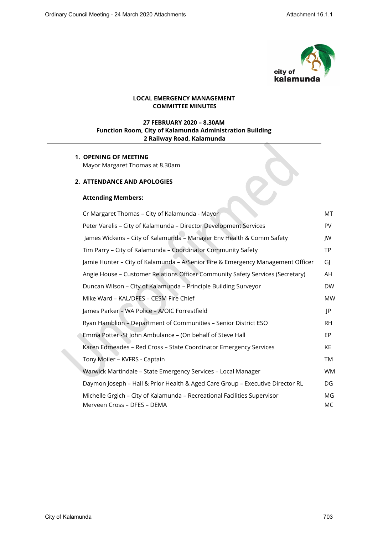

X

## **LOCAL EMERGENCY MANAGEMENT COMMITTEE MINUTES**

# **27 FEBRUARY 2020 – 8.30AM Function Room, City of Kalamunda Administration Building 2 Railway Road, Kalamunda**

## **1. OPENING OF MEETING** Mayor Margaret Thomas at 8.30am

### **2. ATTENDANCE AND APOLOGIES**

### **Attending Members:**

| Cr Margaret Thomas - City of Kalamunda - Mayor                                                          | МT        |
|---------------------------------------------------------------------------------------------------------|-----------|
| Peter Varelis - City of Kalamunda - Director Development Services                                       | <b>PV</b> |
| James Wickens - City of Kalamunda - Manager Env Health & Comm Safety                                    | JW        |
| Tim Parry - City of Kalamunda - Coordinator Community Safety                                            | TP.       |
| Jamie Hunter - City of Kalamunda - A/Senior Fire & Emergency Management Officer                         | GI        |
| Angie House - Customer Relations Officer Community Safety Services (Secretary)                          | AH        |
| Duncan Wilson - City of Kalamunda - Principle Building Surveyor                                         | <b>DW</b> |
| Mike Ward - KAL/DFES - CESM Fire Chief                                                                  | <b>MW</b> |
| James Parker - WA Police - A/OIC Forrestfield                                                           | JP        |
| Ryan Hamblion - Department of Communities - Senior District ESO                                         | <b>RH</b> |
| Emma Potter -St John Ambulance - (On behalf of Steve Hall                                               | EP.       |
| Karen Edmeades - Red Cross - State Coordinator Emergency Services                                       | KE.       |
| Tony Moiler - KVFRS - Captain                                                                           | TM        |
| Warwick Martindale - State Emergency Services - Local Manager                                           | <b>WM</b> |
| Daymon Joseph - Hall & Prior Health & Aged Care Group - Executive Director RL                           | DG        |
| Michelle Grgich - City of Kalamunda - Recreational Facilities Supervisor<br>Merveen Cross - DFES - DEMA | MG<br>MC. |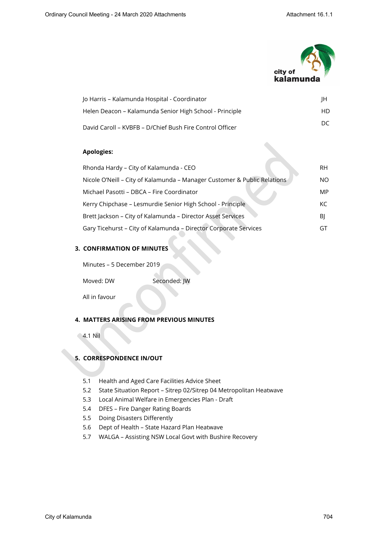

| Jo Harris – Kalamunda Hospital - Coordinator             | ΙH  |
|----------------------------------------------------------|-----|
| Helen Deacon – Kalamunda Senior High School - Principle  | HD. |
| David Caroll – KVBFB – D/Chief Bush Fire Control Officer | DC. |

## **Apologies:**

| Rhonda Hardy - City of Kalamunda - CEO                                   | RH. |
|--------------------------------------------------------------------------|-----|
| Nicole O'Neill - City of Kalamunda - Manager Customer & Public Relations | NΟ  |
| Michael Pasotti – DBCA – Fire Coordinator                                | MP  |
| Kerry Chipchase - Lesmurdie Senior High School - Principle               | KC. |
| Brett Jackson - City of Kalamunda - Director Asset Services              | BI  |
| Gary Ticehurst - City of Kalamunda - Director Corporate Services         | ا ٦ |

# **3. CONFIRMATION OF MINUTES**

Minutes – 5 December 2019

Moved: DW Seconded: JW

All in favour

### **4. MATTERS ARISING FROM PREVIOUS MINUTES**

4.1 Nil

# **5. CORRESPONDENCE IN/OUT**

- 5.1 Health and Aged Care Facilities Advice Sheet
- 5.2 State Situation Report Sitrep 02/Sitrep 04 Metropolitan Heatwave
- 5.3 Local Animal Welfare in Emergencies Plan Draft
- 5.4 DFES Fire Danger Rating Boards
- 5.5 Doing Disasters Differently
- 5.6 Dept of Health State Hazard Plan Heatwave
- 5.7 WALGA Assisting NSW Local Govt with Bushire Recovery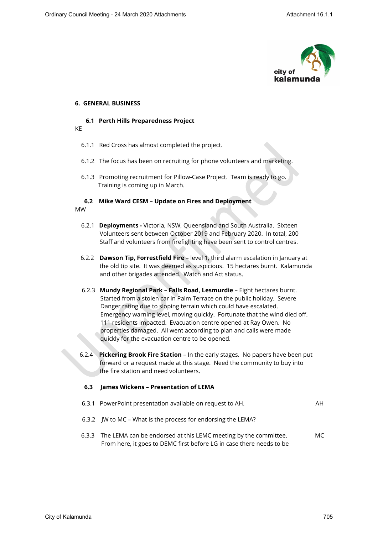

#### **6. GENERAL BUSINESS**

### **6.1 Perth Hills Preparedness Project**

KE

- 6.1.1 Red Cross has almost completed the project.
- 6.1.2 The focus has been on recruiting for phone volunteers and marketing.
- 6.1.3 Promoting recruitment for Pillow-Case Project. Team is ready to go. Training is coming up in March.

# **6.2 Mike Ward CESM – Update on Fires and Deployment**

MW

- 6.2.1 **Deployments -** Victoria, NSW, Queensland and South Australia. Sixteen Volunteers sent between October 2019 and February 2020. In total, 200 Staff and volunteers from firefighting have been sent to control centres.
- 6.2.2 **Dawson Tip, Forrestfield Fire** level 1, third alarm escalation in January at the old tip site. It was deemed as suspicious. 15 hectares burnt. Kalamunda and other brigades attended. Watch and Act status.
- 6.2.3 **Mundy Regional Park Falls Road, Lesmurdie** Eight hectares burnt. Started from a stolen car in Palm Terrace on the public holiday. Severe Danger rating due to sloping terrain which could have escalated. Emergency warning level, moving quickly. Fortunate that the wind died off. 111 residents impacted. Evacuation centre opened at Ray Owen. No properties damaged. All went according to plan and calls were made quickly for the evacuation centre to be opened.
- 6.2.4 **Pickering Brook Fire Station** In the early stages. No papers have been put forward or a request made at this stage. Need the community to buy into the fire station and need volunteers.

## **6.3 James Wickens – Presentation of LEMA**

- 6.3.1 PowerPoint presentation available on request to AH. AH
- 6.3.2 JW to MC What is the process for endorsing the LEMA?
- 6.3.3 The LEMA can be endorsed at this LEMC meeting by the committee. MC From here, it goes to DEMC first before LG in case there needs to be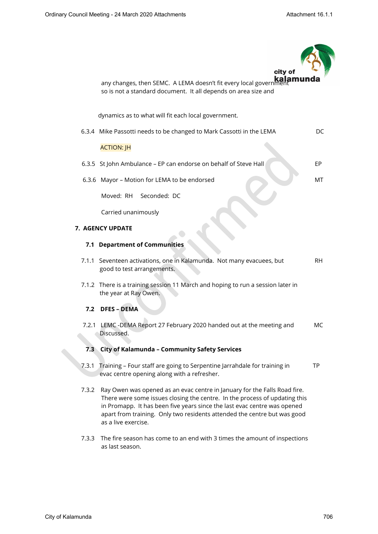|       | city of                                                                                                                                                                                                                                                                                                                                |           |
|-------|----------------------------------------------------------------------------------------------------------------------------------------------------------------------------------------------------------------------------------------------------------------------------------------------------------------------------------------|-----------|
|       | any changes, then SEMC. A LEMA doesn't fit every local government<br>so is not a standard document. It all depends on area size and                                                                                                                                                                                                    |           |
|       | dynamics as to what will fit each local government.                                                                                                                                                                                                                                                                                    |           |
|       | 6.3.4 Mike Passotti needs to be changed to Mark Cassotti in the LEMA                                                                                                                                                                                                                                                                   | DC        |
|       | <b>ACTION: JH</b>                                                                                                                                                                                                                                                                                                                      |           |
|       | 6.3.5 St John Ambulance - EP can endorse on behalf of Steve Hall                                                                                                                                                                                                                                                                       | EP        |
|       | 6.3.6 Mayor - Motion for LEMA to be endorsed                                                                                                                                                                                                                                                                                           | MT        |
|       | Seconded: DC<br>Moved: RH                                                                                                                                                                                                                                                                                                              |           |
|       | Carried unanimously                                                                                                                                                                                                                                                                                                                    |           |
|       | 7. AGENCY UPDATE                                                                                                                                                                                                                                                                                                                       |           |
|       | 7.1 Department of Communities                                                                                                                                                                                                                                                                                                          |           |
|       | 7.1.1 Seventeen activations, one in Kalamunda. Not many evacuees, but<br>good to test arrangements.                                                                                                                                                                                                                                    | <b>RH</b> |
|       | 7.1.2 There is a training session 11 March and hoping to run a session later in<br>the year at Ray Owen.                                                                                                                                                                                                                               |           |
| 7.2   | <b>DFES - DEMA</b>                                                                                                                                                                                                                                                                                                                     |           |
|       | 7.2.1 LEMC -DEMA Report 27 February 2020 handed out at the meeting and<br>Discussed.                                                                                                                                                                                                                                                   | МC        |
| 7.3   | City of Kalamunda - Community Safety Services                                                                                                                                                                                                                                                                                          |           |
| 7.3.1 | Training - Four staff are going to Serpentine Jarrahdale for training in<br>evac centre opening along with a refresher.                                                                                                                                                                                                                | TP.       |
| 7.3.2 | Ray Owen was opened as an evac centre in January for the Falls Road fire.<br>There were some issues closing the centre. In the process of updating this<br>in Promapp. It has been five years since the last evac centre was opened<br>apart from training. Only two residents attended the centre but was good<br>as a live exercise. |           |
| 7.3.3 | The fire season has come to an end with 3 times the amount of inspections<br>as last season.                                                                                                                                                                                                                                           |           |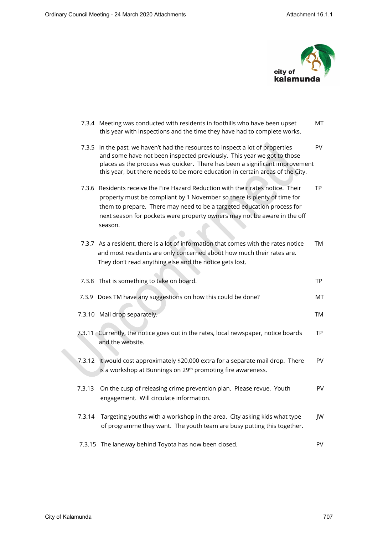

|        | 7.3.4 Meeting was conducted with residents in foothills who have been upset<br>this year with inspections and the time they have had to complete works.                                                                                                                                                                      | MT        |
|--------|------------------------------------------------------------------------------------------------------------------------------------------------------------------------------------------------------------------------------------------------------------------------------------------------------------------------------|-----------|
| 7.3.5  | In the past, we haven't had the resources to inspect a lot of properties<br>and some have not been inspected previously. This year we got to those<br>places as the process was quicker. There has been a significant improvement<br>this year, but there needs to be more education in certain areas of the City.           | <b>PV</b> |
|        | 7.3.6 Residents receive the Fire Hazard Reduction with their rates notice. Their<br>property must be compliant by 1 November so there is plenty of time for<br>them to prepare. There may need to be a targeted education process for<br>next season for pockets were property owners may not be aware in the off<br>season. | <b>TP</b> |
|        | 7.3.7 As a resident, there is a lot of information that comes with the rates notice<br>and most residents are only concerned about how much their rates are.<br>They don't read anything else and the notice gets lost.                                                                                                      | TM        |
|        | 7.3.8 That is something to take on board.                                                                                                                                                                                                                                                                                    | <b>TP</b> |
|        | 7.3.9 Does TM have any suggestions on how this could be done?                                                                                                                                                                                                                                                                | МT        |
|        | 7.3.10 Mail drop separately.                                                                                                                                                                                                                                                                                                 | TM        |
|        | 7.3.11 Currently, the notice goes out in the rates, local newspaper, notice boards<br>and the website.                                                                                                                                                                                                                       | TP        |
| 7.3.12 | It would cost approximately \$20,000 extra for a separate mail drop. There<br>is a workshop at Bunnings on 29th promoting fire awareness.                                                                                                                                                                                    | PV        |
| 7.3.13 | On the cusp of releasing crime prevention plan. Please revue. Youth<br>engagement. Will circulate information.                                                                                                                                                                                                               | PV        |
| 7.3.14 | Targeting youths with a workshop in the area. City asking kids what type<br>of programme they want. The youth team are busy putting this together.                                                                                                                                                                           | JW        |
|        | 7.3.15 The laneway behind Toyota has now been closed.                                                                                                                                                                                                                                                                        | PV        |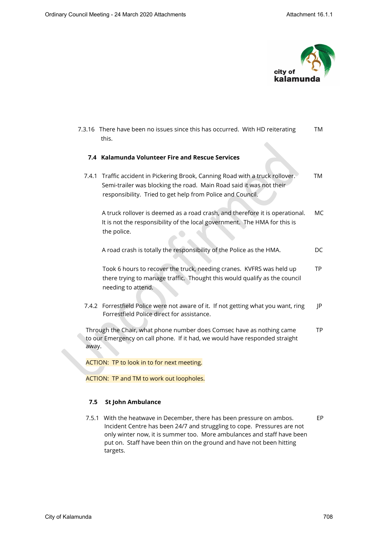

 7.3.16 There have been no issues since this has occurred. With HD reiterating TM this.

#### **7.4 Kalamunda Volunteer Fire and Rescue Services**

 7.4.1 Traffic accident in Pickering Brook, Canning Road with a truck rollover. TM Semi-trailer was blocking the road. Main Road said it was not their responsibility. Tried to get help from Police and Council.

 A truck rollover is deemed as a road crash, and therefore it is operational. MC It is not the responsibility of the local government. The HMA for this is the police.

A road crash is totally the responsibility of the Police as the HMA. DC

Took 6 hours to recover the truck, needing cranes. KVFRS was held up TP there trying to manage traffic. Thought this would qualify as the council needing to attend.

7.4.2 Forrestfield Police were not aware of it. If not getting what you want, ring JP Forrestfield Police direct for assistance.

 Through the Chair, what phone number does Comsec have as nothing came TP to our Emergency on call phone. If it had, we would have responded straight away.

ACTION: TP to look in to for next meeting.

ACTION: TP and TM to work out loopholes.

#### **7.5 St John Ambulance**

 7.5.1 With the heatwave in December, there has been pressure on ambos. EP Incident Centre has been 24/7 and struggling to cope. Pressures are not only winter now, it is summer too. More ambulances and staff have been put on. Staff have been thin on the ground and have not been hitting targets.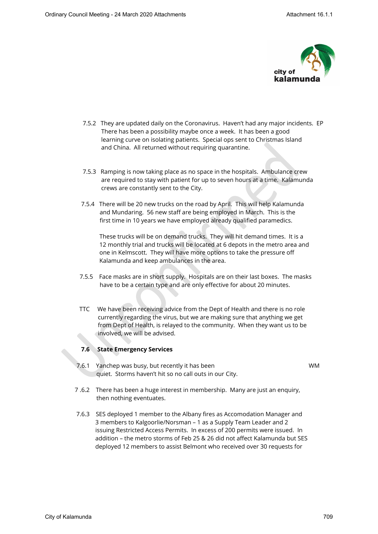

- 7.5.2 They are updated daily on the Coronavirus. Haven't had any major incidents. EP There has been a possibility maybe once a week. It has been a good learning curve on isolating patients. Special ops sent to Christmas Island and China. All returned without requiring quarantine.
- 7.5.3 Ramping is now taking place as no space in the hospitals. Ambulance crew are required to stay with patient for up to seven hours at a time. Kalamunda crews are constantly sent to the City.
- 7.5.4 There will be 20 new trucks on the road by April. This will help Kalamunda and Mundaring. 56 new staff are being employed in March. This is the first time in 10 years we have employed already qualified paramedics.

 These trucks will be on demand trucks. They will hit demand times. It is a 12 monthly trial and trucks will be located at 6 depots in the metro area and one in Kelmscott. They will have more options to take the pressure off Kalamunda and keep ambulances in the area.

- 7.5.5 Face masks are in short supply. Hospitals are on their last boxes. The masks have to be a certain type and are only effective for about 20 minutes.
- TTC We have been receiving advice from the Dept of Health and there is no role currently regarding the virus, but we are making sure that anything we get from Dept of Health, is relayed to the community. When they want us to be involved, we will be advised.

#### **7.6 State Emergency Services**

7.6.1 Yanchep was busy, but recently it has been WM quiet. Storms haven't hit so no call outs in our City.

- 7 .6.2 There has been a huge interest in membership. Many are just an enquiry, then nothing eventuates.
- 7.6.3 SES deployed 1 member to the Albany fires as Accomodation Manager and 3 members to Kalgoorlie/Norsman – 1 as a Supply Team Leader and 2 issuing Restricted Access Permits. In excess of 200 permits were issued. In addition – the metro storms of Feb 25 & 26 did not affect Kalamunda but SES deployed 12 members to assist Belmont who received over 30 requests for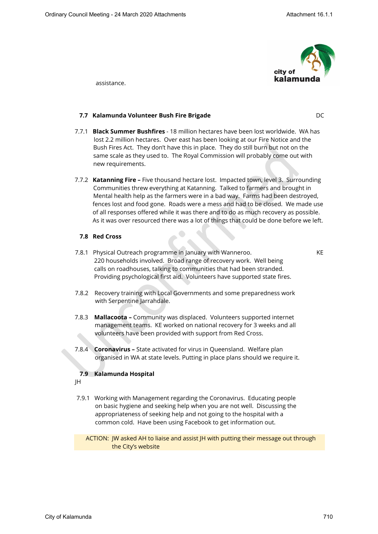

assistance.

## **7.7 Kalamunda Volunteer Bush Fire Brigade** DC

- 7.7.1 **Black Summer Bushfires** 18 million hectares have been lost worldwide. WA has lost 2.2 million hectares. Over east has been looking at our Fire Notice and the Bush Fires Act. They don't have this in place. They do still burn but not on the same scale as they used to. The Royal Commission will probably come out with new requirements.
- 7.7.2 **Katanning Fire** Five thousand hectare lost. Impacted town, level 3. Surrounding Communities threw everything at Katanning. Talked to farmers and brought in Mental health help as the farmers were in a bad way. Farms had been destroyed, fences lost and food gone. Roads were a mess and had to be closed. We made use of all responses offered while it was there and to do as much recovery as possible. As it was over resourced there was a lot of things that could be done before we left.

### **7.8 Red Cross**

7.8.1 Physical Outreach programme in January with Wanneroo. KE 220 households involved. Broad range of recovery work. Well being calls on roadhouses, talking to communities that had been stranded. Providing psychological first aid. Volunteers have supported state fires.

- 7.8.2 Recovery training with Local Governments and some preparedness work with Serpentine Jarrahdale.
- 7.8.3 **Mallacoota** Community was displaced. Volunteers supported internet management teams. KE worked on national recovery for 3 weeks and all volunteers have been provided with support from Red Cross.
- 7.8.4 **Coronavirus** State activated for virus in Queensland. Welfare plan organised in WA at state levels. Putting in place plans should we require it.

## **7.9 Kalamunda Hospital**

- JH
- 7.9.1 Working with Management regarding the Coronavirus. Educating people on basic hygiene and seeking help when you are not well. Discussing the appropriateness of seeking help and not going to the hospital with a common cold. Have been using Facebook to get information out.

 ACTION: JW asked AH to liaise and assist JH with putting their message out through the City's website

City of Kalamunda 710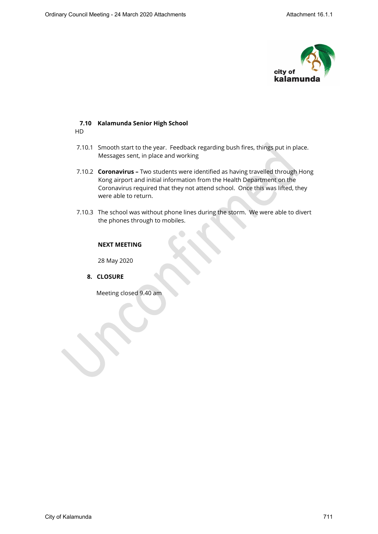

#### **7.10 Kalamunda Senior High School**  HD

- 7.10.1 Smooth start to the year. Feedback regarding bush fires, things put in place. Messages sent, in place and working
- 7.10.2 **Coronavirus** Two students were identified as having travelled through Hong Kong airport and initial information from the Health Department on the Coronavirus required that they not attend school. Once this was lifted, they were able to return.
- 7.10.3 The school was without phone lines during the storm. We were able to divert the phones through to mobiles.

# **NEXT MEETING**

28 May 2020

# **8. CLOSURE**

Meeting closed 9.40 am